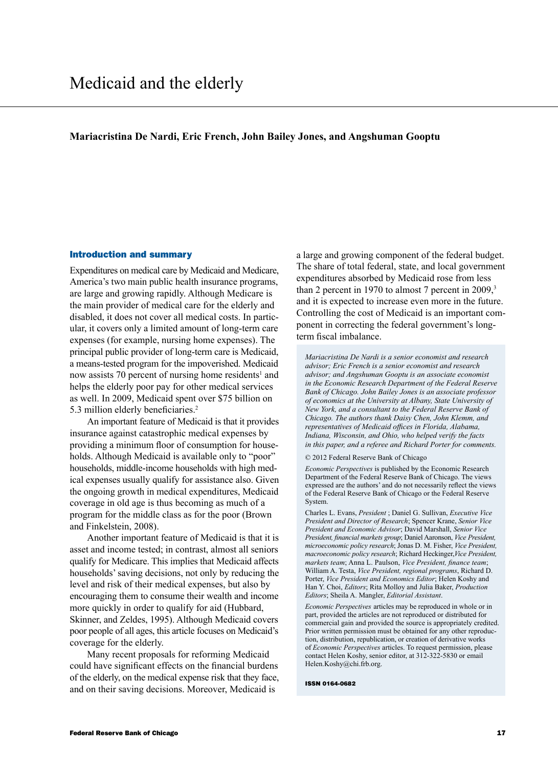### **Mariacristina De Nardi, Eric French, John Bailey Jones, and Angshuman Gooptu**

### Introduction and summary

Expenditures on medical care by Medicaid and Medicare, America's two main public health insurance programs, are large and growing rapidly. Although Medicare is the main provider of medical care for the elderly and disabled, it does not cover all medical costs. In particular, it covers only a limited amount of long-term care expenses (for example, nursing home expenses). The principal public provider of long-term care is Medicaid, a means-tested program for the impoverished. Medicaid now assists 70 percent of nursing home residents<sup>1</sup> and helps the elderly poor pay for other medical services as well. In 2009, Medicaid spent over \$75 billion on 5.3 million elderly beneficiaries.<sup>2</sup>

An important feature of Medicaid is that it provides insurance against catastrophic medical expenses by providing a minimum floor of consumption for households. Although Medicaid is available only to "poor" households, middle-income households with high medical expenses usually qualify for assistance also. Given the ongoing growth in medical expenditures, Medicaid coverage in old age is thus becoming as much of a program for the middle class as for the poor (Brown and Finkelstein, 2008).

Another important feature of Medicaid is that it is asset and income tested; in contrast, almost all seniors qualify for Medicare. This implies that Medicaid affects households' saving decisions, not only by reducing the level and risk of their medical expenses, but also by encouraging them to consume their wealth and income more quickly in order to qualify for aid (Hubbard, Skinner, and Zeldes, 1995). Although Medicaid covers poor people of all ages, this article focuses on Medicaid's coverage for the elderly.

Many recent proposals for reforming Medicaid could have significant effects on the financial burdens of the elderly, on the medical expense risk that they face, and on their saving decisions. Moreover, Medicaid is

a large and growing component of the federal budget. The share of total federal, state, and local government expenditures absorbed by Medicaid rose from less than 2 percent in 1970 to almost 7 percent in 2009,<sup>3</sup> and it is expected to increase even more in the future. Controlling the cost of Medicaid is an important component in correcting the federal government's longterm fiscal imbalance.

*Mariacristina De Nardi is a senior economist and research advisor; Eric French is a senior economist and research advisor; and Angshuman Gooptu is an associate economist in the Economic Research Department of the Federal Reserve Bank of Chicago. John Bailey Jones is an associate professor of economics at the University at Albany, State University of New York, and a consultant to the Federal Reserve Bank of Chicago. The authors thank Daisy Chen, John Klemm, and representatives of Medicaid offices in Florida, Alabama, Indiana, Wisconsin, and Ohio, who helped verify the facts in this paper, and a referee and Richard Porter for comments.*

#### © 2012 Federal Reserve Bank of Chicago

*Economic Perspectives* is published by the Economic Research Department of the Federal Reserve Bank of Chicago. The views expressed are the authors' and do not necessarily reflect the views of the Federal Reserve Bank of Chicago or the Federal Reserve System.

Charles L. Evans, *President* ; Daniel G. Sullivan, *Executive Vice President and Director of Research*; Spencer Krane, *Senior Vice President and Economic Advisor*; David Marshall, *Senior Vice President, financial markets group*; Daniel Aaronson, *Vice President, microeconomic policy research*; Jonas D. M. Fisher, *Vice President, macroeconomic policy research*; Richard Heckinger,*Vice President, markets team*; Anna L. Paulson, *Vice President, finance team*; William A. Testa, *Vice President, regional programs*, Richard D. Porter, *Vice President and Economics Editor*; Helen Koshy and Han Y. Choi, *Editors*; Rita Molloy and Julia Baker, *Production Editors*; Sheila A. Mangler, *Editorial Assistant*.

*Economic Perspectives* articles may be reproduced in whole or in part, provided the articles are not reproduced or distributed for commercial gain and provided the source is appropriately credited. Prior written permission must be obtained for any other reproduction, distribution, republication, or creation of derivative works of *Economic Perspectives* articles. To request permission, please contact Helen Koshy, senior editor, at 312-322-5830 or email Helen.Koshy@chi.frb.org.

#### ISSN 0164-0682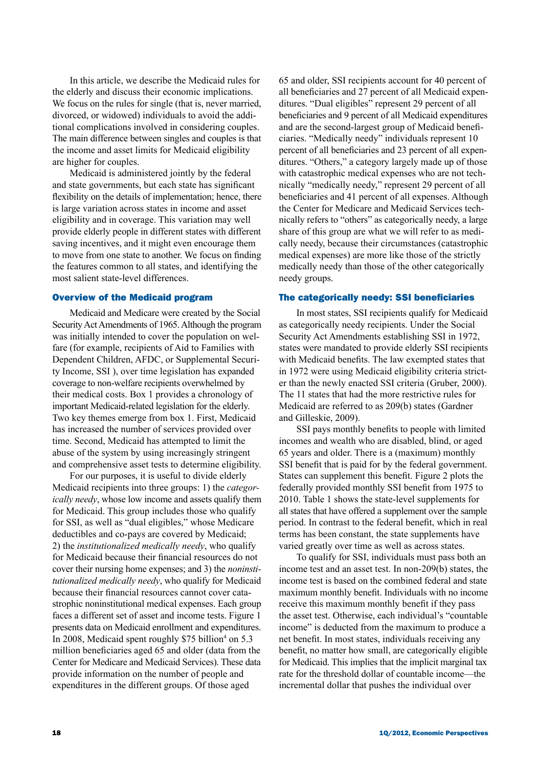In this article, we describe the Medicaid rules for the elderly and discuss their economic implications. We focus on the rules for single (that is, never married, divorced, or widowed) individuals to avoid the additional complications involved in considering couples. The main difference between singles and couples is that the income and asset limits for Medicaid eligibility are higher for couples.

Medicaid is administered jointly by the federal and state governments, but each state has significant flexibility on the details of implementation; hence, there is large variation across states in income and asset eligibility and in coverage. This variation may well provide elderly people in different states with different saving incentives, and it might even encourage them to move from one state to another. We focus on finding the features common to all states, and identifying the most salient state-level differences.

### Overview of the Medicaid program

Medicaid and Medicare were created by the Social Security Act Amendments of 1965. Although the program was initially intended to cover the population on welfare (for example, recipients of Aid to Families with Dependent Children, AFDC, or Supplemental Security Income, SSI ), over time legislation has expanded coverage to non-welfare recipients overwhelmed by their medical costs. Box 1 provides a chronology of important Medicaid-related legislation for the elderly. Two key themes emerge from box 1. First, Medicaid has increased the number of services provided over time. Second, Medicaid has attempted to limit the abuse of the system by using increasingly stringent and comprehensive asset tests to determine eligibility.

For our purposes, it is useful to divide elderly Medicaid recipients into three groups: 1) the *categorically needy*, whose low income and assets qualify them for Medicaid. This group includes those who qualify for SSI, as well as "dual eligibles," whose Medicare deductibles and co-pays are covered by Medicaid; 2) the *institutionalized medically needy*, who qualify for Medicaid because their financial resources do not cover their nursing home expenses; and 3) the *noninstitutionalized medically needy*, who qualify for Medicaid because their financial resources cannot cover catastrophic noninstitutional medical expenses. Each group faces a different set of asset and income tests. Figure 1 presents data on Medicaid enrollment and expenditures. In 2008, Medicaid spent roughly \$75 billion<sup>4</sup> on 5.3 million beneficiaries aged 65 and older (data from the Center for Medicare and Medicaid Services). These data provide information on the number of people and expenditures in the different groups. Of those aged

65 and older, SSI recipients account for 40 percent of all beneficiaries and 27 percent of all Medicaid expenditures. "Dual eligibles" represent 29 percent of all beneficiaries and 9 percent of all Medicaid expenditures and are the second-largest group of Medicaid beneficiaries. "Medically needy" individuals represent 10 percent of all beneficiaries and 23 percent of all expenditures. "Others," a category largely made up of those with catastrophic medical expenses who are not technically "medically needy," represent 29 percent of all beneficiaries and 41 percent of all expenses. Although the Center for Medicare and Medicaid Services technically refers to "others" as categorically needy, a large share of this group are what we will refer to as medically needy, because their circumstances (catastrophic medical expenses) are more like those of the strictly medically needy than those of the other categorically needy groups.

### The categorically needy: SSI beneficiaries

In most states, SSI recipients qualify for Medicaid as categorically needy recipients. Under the Social Security Act Amendments establishing SSI in 1972, states were mandated to provide elderly SSI recipients with Medicaid benefits. The law exempted states that in 1972 were using Medicaid eligibility criteria stricter than the newly enacted SSI criteria (Gruber, 2000). The 11 states that had the more restrictive rules for Medicaid are referred to as 209(b) states (Gardner and Gilleskie, 2009).

SSI pays monthly benefits to people with limited incomes and wealth who are disabled, blind, or aged 65 years and older. There is a (maximum) monthly SSI benefit that is paid for by the federal government. States can supplement this benefit. Figure 2 plots the federally provided monthly SSI benefit from 1975 to 2010. Table 1 shows the state-level supplements for all states that have offered a supplement over the sample period. In contrast to the federal benefit, which in real terms has been constant, the state supplements have varied greatly over time as well as across states.

To qualify for SSI, individuals must pass both an income test and an asset test. In non-209(b) states, the income test is based on the combined federal and state maximum monthly benefit. Individuals with no income receive this maximum monthly benefit if they pass the asset test. Otherwise, each individual's "countable income" is deducted from the maximum to produce a net benefit. In most states, individuals receiving any benefit, no matter how small, are categorically eligible for Medicaid. This implies that the implicit marginal tax rate for the threshold dollar of countable income—the incremental dollar that pushes the individual over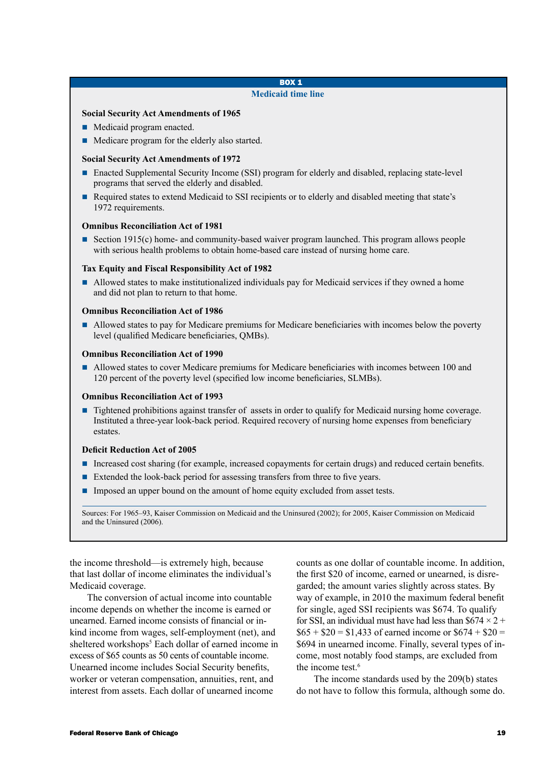### BOX 1 **Medicaid time line**

### **Social Security Act Amendments of 1965**

- $\blacksquare$  Medicaid program enacted.
- Medicare program for the elderly also started.

### **Social Security Act Amendments of 1972**

- Enacted Supplemental Security Income (SSI) program for elderly and disabled, replacing state-level programs that served the elderly and disabled.
- n Required states to extend Medicaid to SSI recipients or to elderly and disabled meeting that state's 1972 requirements.

### **Omnibus Reconciliation Act of 1981**

■ Section 1915(c) home- and community-based waiver program launched. This program allows people with serious health problems to obtain home-based care instead of nursing home care.

### **Tax Equity and Fiscal Responsibility Act of 1982**

n Allowed states to make institutionalized individuals pay for Medicaid services if they owned a home and did not plan to return to that home.

### **Omnibus Reconciliation Act of 1986**

n Allowed states to pay for Medicare premiums for Medicare beneficiaries with incomes below the poverty level (qualified Medicare beneficiaries, QMBs).

### **Omnibus Reconciliation Act of 1990**

Allowed states to cover Medicare premiums for Medicare beneficiaries with incomes between 100 and 120 percent of the poverty level (specified low income beneficiaries, SLMBs).

### **Omnibus Reconciliation Act of 1993**

■ Tightened prohibitions against transfer of assets in order to qualify for Medicaid nursing home coverage. Instituted a three-year look-back period. Required recovery of nursing home expenses from beneficiary estates.

### **Deficit Reduction Act of 2005**

- n Increased cost sharing (for example, increased copayments for certain drugs) and reduced certain benefits.
- Extended the look-back period for assessing transfers from three to five years.
- **n** Imposed an upper bound on the amount of home equity excluded from asset tests.

Sources: For 1965–93, Kaiser Commission on Medicaid and the Uninsured (2002); for 2005, Kaiser Commission on Medicaid and the Uninsured (2006).

the income threshold—is extremely high, because that last dollar of income eliminates the individual's Medicaid coverage.

The conversion of actual income into countable income depends on whether the income is earned or unearned. Earned income consists of financial or inkind income from wages, self-employment (net), and sheltered workshops<sup>5</sup> Each dollar of earned income in excess of \$65 counts as 50 cents of countable income. Unearned income includes Social Security benefits, worker or veteran compensation, annuities, rent, and interest from assets. Each dollar of unearned income

counts as one dollar of countable income. In addition, the first \$20 of income, earned or unearned, is disregarded; the amount varies slightly across states. By way of example, in 2010 the maximum federal benefit for single, aged SSI recipients was \$674. To qualify for SSI, an individual must have had less than  $$674 \times 2 +$  $$65 + $20 = $1,433$  of earned income or  $$674 + $20 =$ \$694 in unearned income. Finally, several types of income, most notably food stamps, are excluded from the income test.<sup>6</sup>

The income standards used by the 209(b) states do not have to follow this formula, although some do.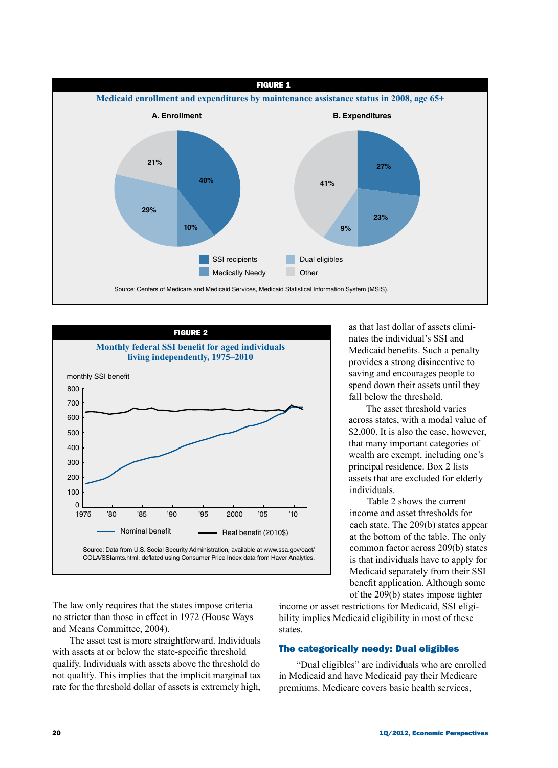



as that last dollar of assets eliminates the individual's SSI and Medicaid benefits. Such a penalty provides a strong disincentive to saving and encourages people to spend down their assets until they fall below the threshold.

The asset threshold varies across states, with a modal value of \$2,000. It is also the case, however, that many important categories of wealth are exempt, including one's principal residence. Box 2 lists assets that are excluded for elderly individuals.

Table 2 shows the current income and asset thresholds for each state. The 209(b) states appear at the bottom of the table. The only common factor across 209(b) states is that individuals have to apply for Medicaid separately from their SSI benefit application. Although some of the 209(b) states impose tighter

The law only requires that the states impose criteria no stricter than those in effect in 1972 (House Ways and Means Committee, 2004).

The asset test is more straightforward. Individuals with assets at or below the state-specific threshold qualify. Individuals with assets above the threshold do not qualify. This implies that the implicit marginal tax rate for the threshold dollar of assets is extremely high,

income or asset restrictions for Medicaid, SSI eligibility implies Medicaid eligibility in most of these states.

### The categorically needy: Dual eligibles

"Dual eligibles" are individuals who are enrolled in Medicaid and have Medicaid pay their Medicare premiums. Medicare covers basic health services,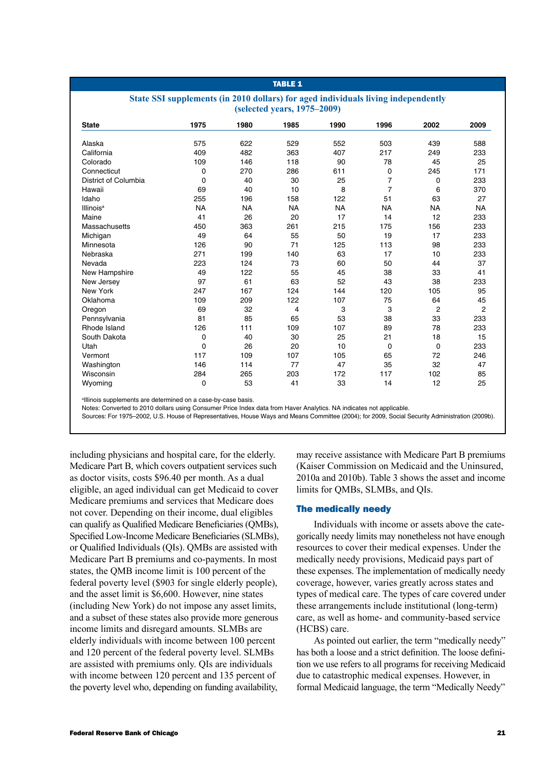## **TABLE 1**

### **State SSI supplements (in 2010 dollars) for aged individuals living independently (selected years, 1975–2009)**

| <b>State</b>                | 1975        | 1980      | 1985      | 1990      | 1996           | 2002      | 2009           |
|-----------------------------|-------------|-----------|-----------|-----------|----------------|-----------|----------------|
| Alaska                      | 575         | 622       | 529       | 552       | 503            | 439       | 588            |
| California                  | 409         | 482       | 363       | 407       | 217            | 249       | 233            |
| Colorado                    | 109         | 146       | 118       | 90        | 78             | 45        | 25             |
| Connecticut                 | 0           | 270       | 286       | 611       | 0              | 245       | 171            |
| District of Columbia        | $\mathbf 0$ | 40        | 30        | 25        | $\overline{7}$ | 0         | 233            |
| Hawaii                      | 69          | 40        | 10        | 8         | $\overline{7}$ | 6         | 370            |
| Idaho                       | 255         | 196       | 158       | 122       | 51             | 63        | 27             |
| <b>Illinois<sup>a</sup></b> | <b>NA</b>   | <b>NA</b> | <b>NA</b> | <b>NA</b> | <b>NA</b>      | <b>NA</b> | <b>NA</b>      |
| Maine                       | 41          | 26        | 20        | 17        | 14             | 12        | 233            |
| Massachusetts               | 450         | 363       | 261       | 215       | 175            | 156       | 233            |
| Michigan                    | 49          | 64        | 55        | 50        | 19             | 17        | 233            |
| Minnesota                   | 126         | 90        | 71        | 125       | 113            | 98        | 233            |
| Nebraska                    | 271         | 199       | 140       | 63        | 17             | 10        | 233            |
| Nevada                      | 223         | 124       | 73        | 60        | 50             | 44        | 37             |
| New Hampshire               | 49          | 122       | 55        | 45        | 38             | 33        | 41             |
| New Jersey                  | 97          | 61        | 63        | 52        | 43             | 38        | 233            |
| New York                    | 247         | 167       | 124       | 144       | 120            | 105       | 95             |
| Oklahoma                    | 109         | 209       | 122       | 107       | 75             | 64        | 45             |
| Oregon                      | 69          | 32        | 4         | 3         | 3              | 2         | $\overline{2}$ |
| Pennsylvania                | 81          | 85        | 65        | 53        | 38             | 33        | 233            |
| Rhode Island                | 126         | 111       | 109       | 107       | 89             | 78        | 233            |
| South Dakota                | 0           | 40        | 30        | 25        | 21             | 18        | 15             |
| Utah                        | $\mathbf 0$ | 26        | 20        | 10        | 0              | 0         | 233            |
| Vermont                     | 117         | 109       | 107       | 105       | 65             | 72        | 246            |
| Washington                  | 146         | 114       | 77        | 47        | 35             | 32        | 47             |
| Wisconsin                   | 284         | 265       | 203       | 172       | 117            | 102       | 85             |
| Wyoming                     | 0           | 53        | 41        | 33        | 14             | 12        | 25             |

allinois supplements are determined on a case-by-case basis.

Notes: Converted to 2010 dollars using Consumer Price Index data from Haver Analytics. NA indicates not applicable.

Sources: For 1975–2002, U.S. House of Representatives, House Ways and Means Committee (2004); for 2009, Social Security Administration (2009b).

including physicians and hospital care, for the elderly. Medicare Part B, which covers outpatient services such as doctor visits, costs \$96.40 per month. As a dual eligible, an aged individual can get Medicaid to cover Medicare premiums and services that Medicare does not cover. Depending on their income, dual eligibles can qualify as Qualified Medicare Beneficiaries (QMBs), Specified Low-Income Medicare Beneficiaries (SLMBs), or Qualified Individuals (QIs). QMBs are assisted with Medicare Part B premiums and co-payments. In most states, the QMB income limit is 100 percent of the federal poverty level (\$903 for single elderly people), and the asset limit is \$6,600. However, nine states (including New York) do not impose any asset limits, and a subset of these states also provide more generous income limits and disregard amounts. SLMBs are elderly individuals with income between 100 percent and 120 percent of the federal poverty level. SLMBs are assisted with premiums only. QIs are individuals with income between 120 percent and 135 percent of the poverty level who, depending on funding availability,

may receive assistance with Medicare Part B premiums (Kaiser Commission on Medicaid and the Uninsured, 2010a and 2010b). Table 3 shows the asset and income limits for QMBs, SLMBs, and QIs.

### The medically needy

Individuals with income or assets above the categorically needy limits may nonetheless not have enough resources to cover their medical expenses. Under the medically needy provisions, Medicaid pays part of these expenses. The implementation of medically needy coverage, however, varies greatly across states and types of medical care. The types of care covered under these arrangements include institutional (long-term) care, as well as home- and community-based service (HCBS) care.

As pointed out earlier, the term "medically needy" has both a loose and a strict definition. The loose definition we use refers to all programs for receiving Medicaid due to catastrophic medical expenses. However, in formal Medicaid language, the term "Medically Needy"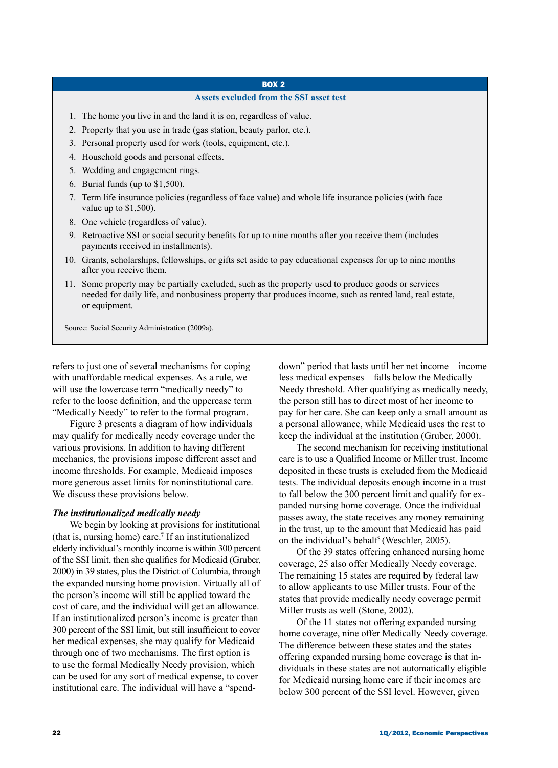## BOX 2

### **Assets excluded from the SSI asset test**

- 1. The home you live in and the land it is on, regardless of value.
- 2. Property that you use in trade (gas station, beauty parlor, etc.).
- 3. Personal property used for work (tools, equipment, etc.).
- 4. Household goods and personal effects.
- 5. Wedding and engagement rings.
- 6. Burial funds (up to \$1,500).
- 7. Term life insurance policies (regardless of face value) and whole life insurance policies (with face value up to \$1,500).
- 8. One vehicle (regardless of value).
- 9. Retroactive SSI or social security benefits for up to nine months after you receive them (includes payments received in installments).
- 10. Grants, scholarships, fellowships, or gifts set aside to pay educational expenses for up to nine months after you receive them.
- 11. Some property may be partially excluded, such as the property used to produce goods or services needed for daily life, and nonbusiness property that produces income, such as rented land, real estate, or equipment.

Source: Social Security Administration (2009a).

refers to just one of several mechanisms for coping with unaffordable medical expenses. As a rule, we will use the lowercase term "medically needy" to refer to the loose definition, and the uppercase term "Medically Needy" to refer to the formal program.

Figure 3 presents a diagram of how individuals may qualify for medically needy coverage under the various provisions. In addition to having different mechanics, the provisions impose different asset and income thresholds. For example, Medicaid imposes more generous asset limits for noninstitutional care. We discuss these provisions below.

### *The institutionalized medically needy*

We begin by looking at provisions for institutional (that is, nursing home) care.7 If an institutionalized elderly individual's monthly income is within 300 percent of the SSI limit, then she qualifies for Medicaid (Gruber, 2000) in 39 states, plus the District of Columbia, through the expanded nursing home provision. Virtually all of the person's income will still be applied toward the cost of care, and the individual will get an allowance. If an institutionalized person's income is greater than 300 percent of the SSI limit, but still insufficient to cover her medical expenses, she may qualify for Medicaid through one of two mechanisms. The first option is to use the formal Medically Needy provision, which can be used for any sort of medical expense, to cover institutional care. The individual will have a "spenddown" period that lasts until her net income—income less medical expenses—falls below the Medically Needy threshold. After qualifying as medically needy, the person still has to direct most of her income to pay for her care. She can keep only a small amount as a personal allowance, while Medicaid uses the rest to keep the individual at the institution (Gruber, 2000).

The second mechanism for receiving institutional care is to use a Qualified Income or Miller trust. Income deposited in these trusts is excluded from the Medicaid tests. The individual deposits enough income in a trust to fall below the 300 percent limit and qualify for expanded nursing home coverage. Once the individual passes away, the state receives any money remaining in the trust, up to the amount that Medicaid has paid on the individual's behalf<sup>8</sup> (Weschler, 2005).

Of the 39 states offering enhanced nursing home coverage, 25 also offer Medically Needy coverage. The remaining 15 states are required by federal law to allow applicants to use Miller trusts. Four of the states that provide medically needy coverage permit Miller trusts as well (Stone, 2002).

Of the 11 states not offering expanded nursing home coverage, nine offer Medically Needy coverage. The difference between these states and the states offering expanded nursing home coverage is that individuals in these states are not automatically eligible for Medicaid nursing home care if their incomes are below 300 percent of the SSI level. However, given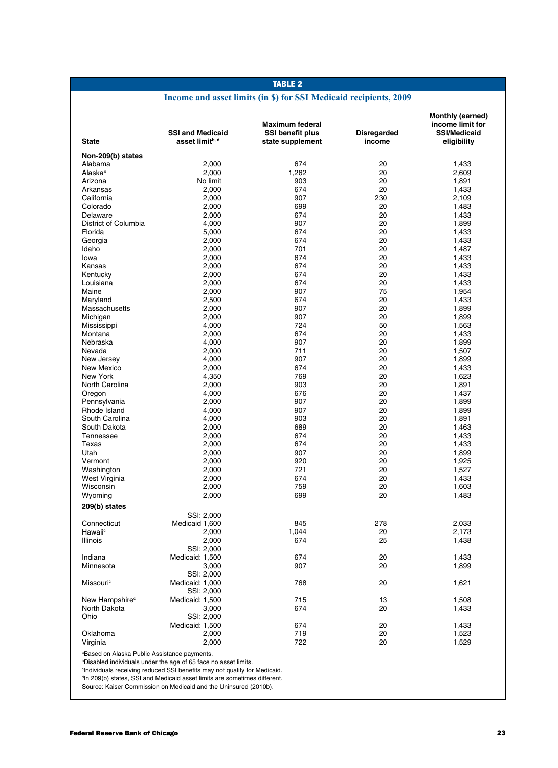# **Income and asset limits (in \$) for SSI Medicaid recipients, 2009**

| <b>State</b>                                             | <b>SSI and Medicaid</b><br>asset limitb, d                           | <b>Maximum federal</b><br><b>SSI benefit plus</b><br>state supplement | Disregarded<br>income | Monthly (earned)<br>income limit for<br><b>SSI/Medicaid</b><br>eligibility |
|----------------------------------------------------------|----------------------------------------------------------------------|-----------------------------------------------------------------------|-----------------------|----------------------------------------------------------------------------|
|                                                          |                                                                      |                                                                       |                       |                                                                            |
| Non-209(b) states                                        |                                                                      |                                                                       |                       |                                                                            |
| Alabama                                                  | 2.000                                                                | 674                                                                   | 20                    | 1,433                                                                      |
| Alaska <sup>a</sup>                                      | 2,000                                                                | 1,262                                                                 | 20                    | 2,609                                                                      |
| Arizona                                                  | No limit                                                             | 903                                                                   | 20                    | 1,891                                                                      |
| Arkansas                                                 | 2,000                                                                | 674                                                                   | 20                    | 1,433                                                                      |
| California                                               | 2,000                                                                | 907                                                                   | 230                   | 2,109                                                                      |
| Colorado                                                 | 2,000                                                                | 699                                                                   | 20                    | 1,483                                                                      |
| Delaware                                                 | 2,000                                                                | 674                                                                   | 20                    | 1,433                                                                      |
| District of Columbia                                     | 4,000                                                                | 907                                                                   | 20                    | 1,899                                                                      |
| Florida                                                  | 5,000                                                                | 674                                                                   | 20                    | 1,433                                                                      |
| Georgia                                                  | 2.000                                                                | 674                                                                   | 20                    | 1,433                                                                      |
| Idaho                                                    | 2,000                                                                | 701                                                                   | 20                    | 1,487                                                                      |
| lowa                                                     | 2,000                                                                | 674                                                                   | 20                    | 1,433                                                                      |
| Kansas                                                   | 2,000                                                                | 674                                                                   | 20                    | 1,433                                                                      |
| Kentucky                                                 | 2,000                                                                | 674                                                                   | 20                    | 1,433                                                                      |
| Louisiana                                                | 2,000                                                                | 674                                                                   | 20                    | 1,433                                                                      |
| Maine                                                    | 2,000                                                                | 907                                                                   | 75                    | 1,954                                                                      |
| Maryland                                                 | 2,500                                                                | 674                                                                   | 20                    | 1,433                                                                      |
| Massachusetts                                            | 2,000                                                                | 907                                                                   | 20                    | 1,899                                                                      |
| Michigan                                                 | 2,000                                                                | 907                                                                   | 20                    | 1,899                                                                      |
| Mississippi                                              | 4,000                                                                | 724                                                                   | 50                    | 1,563                                                                      |
| Montana                                                  | 2,000                                                                | 674                                                                   | 20                    | 1,433                                                                      |
| Nebraska                                                 | 4,000                                                                | 907                                                                   | 20                    | 1,899                                                                      |
| Nevada                                                   | 2,000                                                                | 711                                                                   | 20                    | 1,507                                                                      |
| New Jersey                                               | 4,000                                                                | 907                                                                   | 20                    | 1,899                                                                      |
| New Mexico                                               | 2,000                                                                | 674                                                                   | 20                    | 1,433                                                                      |
| New York                                                 | 4,350                                                                | 769                                                                   | 20                    | 1,623                                                                      |
| North Carolina                                           | 2,000                                                                | 903                                                                   | 20                    | 1,891                                                                      |
| Oregon                                                   | 4,000                                                                | 676                                                                   | 20                    | 1,437                                                                      |
| Pennsylvania                                             | 2,000                                                                | 907                                                                   | 20                    | 1,899                                                                      |
| Rhode Island                                             | 4,000                                                                | 907                                                                   | 20                    | 1,899                                                                      |
| South Carolina                                           | 4,000                                                                | 903                                                                   | 20                    | 1,891                                                                      |
| South Dakota                                             | 2,000                                                                | 689                                                                   | 20                    | 1,463                                                                      |
| Tennessee                                                | 2,000                                                                | 674                                                                   | 20                    | 1,433                                                                      |
| Texas                                                    | 2,000                                                                | 674                                                                   | 20                    |                                                                            |
| Utah                                                     |                                                                      |                                                                       | 20                    | 1,433                                                                      |
|                                                          | 2,000                                                                | 907                                                                   | 20                    | 1,899                                                                      |
| Vermont                                                  | 2,000                                                                | 920                                                                   |                       | 1,925                                                                      |
| Washington                                               | 2,000                                                                | 721                                                                   | 20                    | 1,527                                                                      |
| West Virginia                                            | 2,000                                                                | 674                                                                   | 20                    | 1,433                                                                      |
| Wisconsin                                                | 2,000                                                                | 759                                                                   | 20                    | 1,603                                                                      |
| Wyoming                                                  | 2,000                                                                | 699                                                                   | 20                    | 1,483                                                                      |
| 209(b) states                                            |                                                                      |                                                                       |                       |                                                                            |
|                                                          | SSI: 2,000                                                           |                                                                       |                       |                                                                            |
| Connecticut                                              | Medicaid 1,600                                                       | 845                                                                   | 278                   | 2,033                                                                      |
| Hawaiic                                                  | 2,000                                                                | 1,044                                                                 | 20                    | 2,173                                                                      |
| Illinois                                                 | 2,000                                                                | 674                                                                   | 25                    | 1,438                                                                      |
|                                                          | SSI: 2,000                                                           |                                                                       |                       |                                                                            |
| Indiana                                                  | Medicaid: 1,500                                                      | 674                                                                   | 20                    | 1,433                                                                      |
| Minnesota                                                | 3,000                                                                | 907                                                                   | 20                    | 1,899                                                                      |
|                                                          | SSI: 2,000                                                           |                                                                       |                       |                                                                            |
| Missouri <sup>c</sup>                                    | Medicaid: 1,000                                                      | 768                                                                   | 20                    | 1,621                                                                      |
|                                                          | SSI: 2,000                                                           |                                                                       |                       |                                                                            |
| New Hampshire <sup>c</sup>                               | Medicaid: 1,500                                                      | 715                                                                   | 13                    | 1.508                                                                      |
| North Dakota                                             | 3,000                                                                | 674                                                                   | 20                    | 1,433                                                                      |
| Ohio                                                     | SSI: 2,000                                                           |                                                                       |                       |                                                                            |
|                                                          | Medicaid: 1,500                                                      | 674                                                                   | 20                    | 1,433                                                                      |
| Oklahoma                                                 | 2,000                                                                | 719                                                                   | 20                    | 1,523                                                                      |
| Virginia                                                 | 2,000                                                                | 722                                                                   | 20                    | 1,529                                                                      |
| <sup>a</sup> Based on Alaska Public Assistance payments. | <b>Disabled individuals under the age of 65 face no asset limits</b> |                                                                       |                       |                                                                            |

Disabled individuals under the age of 65 face no asset limits. c Individuals receiving reduced SSI benefits may not qualify for Medicaid. d In 209(b) states, SSI and Medicaid asset limits are sometimes different.

Source: Kaiser Commission on Medicaid and the Uninsured (2010b).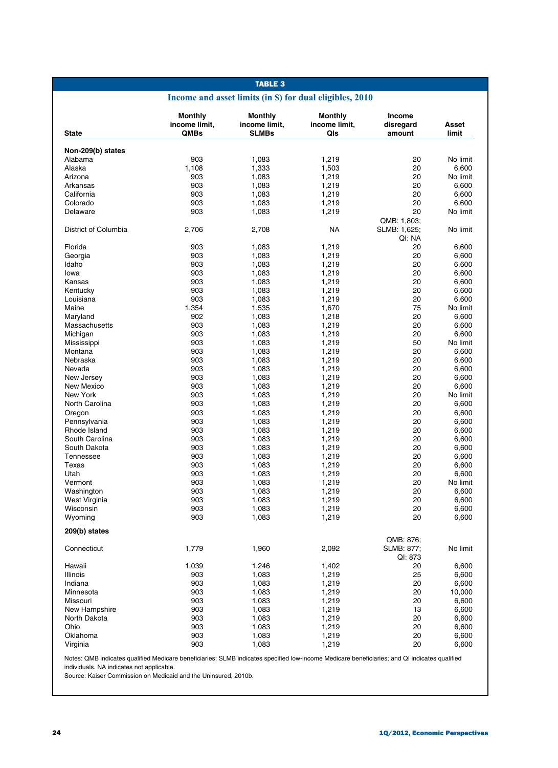# **Income and asset limits (in \$) for dual eligibles, 2010**

| <b>State</b>             | <b>Monthly</b><br>income limit.<br><b>QMBs</b> | Monthly<br>income limit.<br><b>SLMBs</b> | <b>Monthly</b><br>income limit,<br>QIs | Income<br>disregard<br>amount         | Asset<br>limit |
|--------------------------|------------------------------------------------|------------------------------------------|----------------------------------------|---------------------------------------|----------------|
|                          |                                                |                                          |                                        |                                       |                |
| Non-209(b) states        |                                                |                                          |                                        |                                       |                |
| Alabama                  | 903                                            | 1,083                                    | 1,219                                  | 20                                    | No limit       |
| Alaska                   | 1,108                                          | 1,333                                    | 1,503                                  | 20                                    | 6,600          |
| Arizona                  | 903                                            | 1,083                                    | 1,219                                  | 20                                    | No limit       |
| Arkansas                 | 903                                            | 1,083                                    | 1,219                                  | 20                                    | 6,600          |
| California               | 903                                            | 1,083                                    | 1,219                                  | 20                                    | 6,600          |
| Colorado                 | 903                                            | 1,083                                    | 1,219                                  | 20                                    | 6.600          |
| Delaware                 | 903                                            | 1,083                                    | 1,219                                  | 20                                    | No limit       |
| District of Columbia     | 2,706                                          | 2,708                                    | NA                                     | QMB: 1,803;<br>SLMB: 1,625;<br>QI: NA | No limit       |
| Florida                  | 903                                            | 1,083                                    | 1,219                                  | 20                                    | 6,600          |
| Georgia                  | 903                                            | 1,083                                    | 1,219                                  | 20                                    | 6,600          |
| Idaho                    | 903                                            | 1,083                                    | 1,219                                  | 20                                    | 6,600          |
| lowa                     | 903                                            | 1,083                                    | 1,219                                  | 20                                    | 6,600          |
| Kansas                   | 903                                            | 1,083                                    | 1,219                                  | 20                                    | 6,600          |
| Kentucky                 | 903                                            | 1,083                                    | 1,219                                  | 20                                    | 6,600          |
| Louisiana                | 903                                            | 1,083                                    | 1,219                                  | 20                                    | 6,600          |
| Maine                    | 1.354                                          | 1,535                                    | 1,670                                  | 75                                    | No limit       |
| Maryland                 | 902                                            | 1,083                                    | 1,218                                  | 20                                    | 6,600          |
| Massachusetts            | 903                                            | 1,083                                    | 1,219                                  | 20                                    | 6,600          |
| Michigan                 | 903                                            | 1,083                                    | 1,219                                  | 20                                    | 6,600          |
| Mississippi              | 903                                            | 1,083                                    | 1,219                                  | 50                                    | No limit       |
| Montana                  | 903                                            | 1,083                                    | 1,219                                  | 20                                    | 6,600          |
| Nebraska                 | 903                                            | 1,083                                    | 1,219                                  | 20                                    | 6,600          |
| Nevada                   | 903                                            | 1,083                                    | 1,219                                  | 20                                    | 6,600          |
| New Jersey<br>New Mexico | 903<br>903                                     | 1,083                                    | 1,219                                  | 20<br>20                              | 6,600<br>6.600 |
| New York                 | 903                                            | 1,083<br>1,083                           | 1,219<br>1,219                         | 20                                    | No limit       |
| North Carolina           | 903                                            | 1,083                                    | 1,219                                  | 20                                    | 6,600          |
| Oregon                   | 903                                            | 1,083                                    | 1,219                                  | 20                                    | 6,600          |
| Pennsylvania             | 903                                            | 1,083                                    | 1,219                                  | 20                                    | 6,600          |
| Rhode Island             | 903                                            | 1,083                                    | 1,219                                  | 20                                    | 6,600          |
| South Carolina           | 903                                            | 1,083                                    | 1,219                                  | 20                                    | 6,600          |
| South Dakota             | 903                                            | 1,083                                    | 1,219                                  | 20                                    | 6,600          |
| Tennessee                | 903                                            | 1,083                                    | 1,219                                  | 20                                    | 6,600          |
| Texas                    | 903                                            | 1,083                                    | 1,219                                  | 20                                    | 6,600          |
| Utah                     | 903                                            | 1,083                                    | 1,219                                  | 20                                    | 6,600          |
| Vermont                  | 903                                            | 1,083                                    | 1,219                                  | 20                                    | No limit       |
| Washington               | 903                                            | 1,083                                    | 1,219                                  | 20                                    | 6,600          |
| West Virginia            | 903                                            | 1,083                                    | 1,219                                  | 20                                    | 6,600          |
| Wisconsin                | 903                                            | 1,083                                    | 1,219                                  | 20                                    | 6,600          |
| Wyoming                  | 903                                            | 1,083                                    | 1,219                                  | 20                                    | 6,600          |
| 209(b) states            |                                                |                                          |                                        | QMB: 876;                             |                |
| Connecticut              | 1,779                                          | 1,960                                    | 2,092                                  | SLMB: 877;<br>QI: 873                 | No limit       |
| Hawaii                   | 1,039                                          | 1,246                                    | 1,402                                  | 20                                    | 6,600          |
| Illinois                 | 903                                            | 1,083                                    | 1,219                                  | 25                                    | 6,600          |
| Indiana                  | 903                                            | 1,083                                    | 1,219                                  | 20                                    | 6,600          |
| Minnesota                | 903                                            | 1,083                                    | 1,219                                  | 20                                    | 10,000         |
| Missouri                 | 903                                            | 1,083                                    | 1,219                                  | 20                                    | 6,600          |
| New Hampshire            | 903                                            | 1,083                                    | 1,219                                  | 13                                    | 6,600          |
| North Dakota             | 903                                            | 1,083                                    | 1,219                                  | 20                                    | 6,600          |
| Ohio                     | 903                                            | 1,083                                    | 1,219                                  | 20                                    | 6,600          |
| Oklahoma                 | 903                                            | 1,083                                    | 1,219                                  | 20                                    | 6,600          |
| Virginia                 | 903                                            | 1,083                                    | 1,219                                  | 20                                    | 6,600          |

Notes: QMB indicates qualified Medicare beneficiaries; SLMB indicates specified low-income Medicare beneficiaries; and QI indicates qualified individuals. NA indicates not applicable.

Source: Kaiser Commission on Medicaid and the Uninsured, 2010b.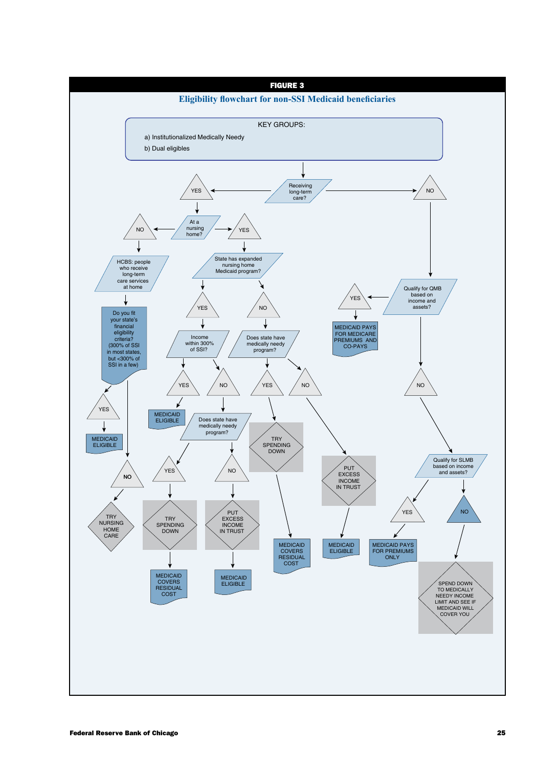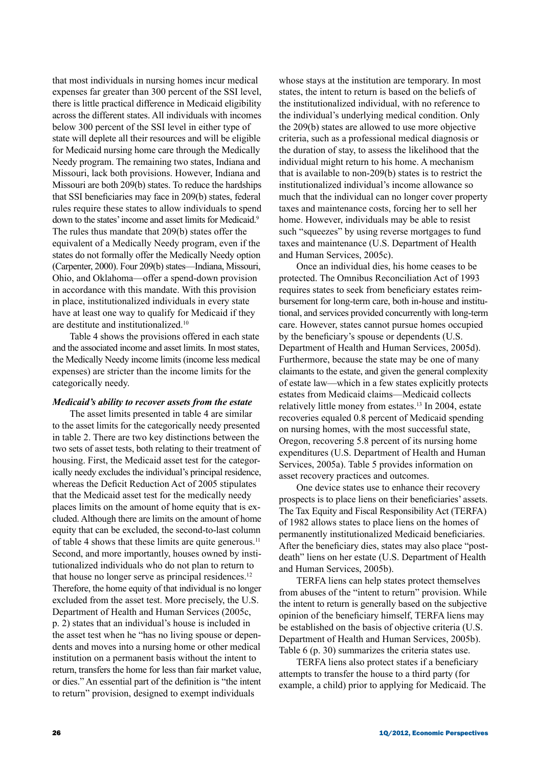that most individuals in nursing homes incur medical expenses far greater than 300 percent of the SSI level, there is little practical difference in Medicaid eligibility across the different states. All individuals with incomes below 300 percent of the SSI level in either type of state will deplete all their resources and will be eligible for Medicaid nursing home care through the Medically Needy program. The remaining two states, Indiana and Missouri, lack both provisions. However, Indiana and Missouri are both 209(b) states. To reduce the hardships that SSI beneficiaries may face in 209(b) states, federal rules require these states to allow individuals to spend down to the states' income and asset limits for Medicaid.<sup>9</sup> The rules thus mandate that 209(b) states offer the equivalent of a Medically Needy program, even if the states do not formally offer the Medically Needy option (Carpenter, 2000). Four 209(b) states—Indiana, Missouri, Ohio, and Oklahoma—offer a spend-down provision in accordance with this mandate. With this provision in place, institutionalized individuals in every state have at least one way to qualify for Medicaid if they are destitute and institutionalized.10

Table 4 shows the provisions offered in each state and the associated income and asset limits. In most states, the Medically Needy income limits (income less medical expenses) are stricter than the income limits for the categorically needy.

### *Medicaid's ability to recover assets from the estate*

The asset limits presented in table 4 are similar to the asset limits for the categorically needy presented in table 2. There are two key distinctions between the two sets of asset tests, both relating to their treatment of housing. First, the Medicaid asset test for the categorically needy excludes the individual's principal residence, whereas the Deficit Reduction Act of 2005 stipulates that the Medicaid asset test for the medically needy places limits on the amount of home equity that is excluded. Although there are limits on the amount of home equity that can be excluded, the second-to-last column of table 4 shows that these limits are quite generous.<sup>11</sup> Second, and more importantly, houses owned by institutionalized individuals who do not plan to return to that house no longer serve as principal residences.12 Therefore, the home equity of that individual is no longer excluded from the asset test. More precisely, the U.S. Department of Health and Human Services (2005c, p. 2) states that an individual's house is included in the asset test when he "has no living spouse or dependents and moves into a nursing home or other medical institution on a permanent basis without the intent to return, transfers the home for less than fair market value, or dies." An essential part of the definition is "the intent to return" provision, designed to exempt individuals

whose stays at the institution are temporary. In most states, the intent to return is based on the beliefs of the institutionalized individual, with no reference to the individual's underlying medical condition. Only the 209(b) states are allowed to use more objective criteria, such as a professional medical diagnosis or the duration of stay, to assess the likelihood that the individual might return to his home. A mechanism that is available to non-209(b) states is to restrict the institutionalized individual's income allowance so much that the individual can no longer cover property taxes and maintenance costs, forcing her to sell her home. However, individuals may be able to resist such "squeezes" by using reverse mortgages to fund taxes and maintenance (U.S. Department of Health and Human Services, 2005c).

Once an individual dies, his home ceases to be protected. The Omnibus Reconciliation Act of 1993 requires states to seek from beneficiary estates reimbursement for long-term care, both in-house and institutional, and services provided concurrently with long-term care. However, states cannot pursue homes occupied by the beneficiary's spouse or dependents (U.S. Department of Health and Human Services, 2005d). Furthermore, because the state may be one of many claimants to the estate, and given the general complexity of estate law—which in a few states explicitly protects estates from Medicaid claims—Medicaid collects relatively little money from estates.13 In 2004, estate recoveries equaled 0.8 percent of Medicaid spending on nursing homes, with the most successful state, Oregon, recovering 5.8 percent of its nursing home expenditures (U.S. Department of Health and Human Services, 2005a). Table 5 provides information on asset recovery practices and outcomes.

One device states use to enhance their recovery prospects is to place liens on their beneficiaries' assets. The Tax Equity and Fiscal Responsibility Act (TERFA) of 1982 allows states to place liens on the homes of permanently institutionalized Medicaid beneficiaries. After the beneficiary dies, states may also place "postdeath" liens on her estate (U.S. Department of Health and Human Services, 2005b).

TERFA liens can help states protect themselves from abuses of the "intent to return" provision. While the intent to return is generally based on the subjective opinion of the beneficiary himself, TERFA liens may be established on the basis of objective criteria (U.S. Department of Health and Human Services, 2005b). Table 6 (p. 30) summarizes the criteria states use.

TERFA liens also protect states if a beneficiary attempts to transfer the house to a third party (for example, a child) prior to applying for Medicaid. The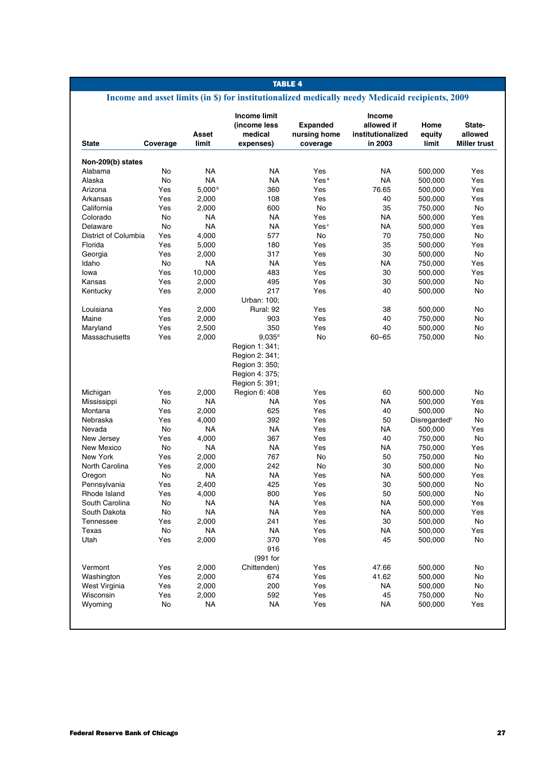# **Income and asset limits (in \$) for institutionalized medically needy Medicaid recipients, 2009**

| <b>State</b>         | Coverage | Asset<br>limit | <b>Income limit</b><br>(income less<br>medical<br>expenses)                            | <b>Expanded</b><br>nursing home<br>coverage | <b>Income</b><br>allowed if<br>institutionalized<br>in 2003 | Home<br>equity<br>limit  | State-<br>allowed<br><b>Miller trust</b> |
|----------------------|----------|----------------|----------------------------------------------------------------------------------------|---------------------------------------------|-------------------------------------------------------------|--------------------------|------------------------------------------|
| Non-209(b) states    |          |                |                                                                                        |                                             |                                                             |                          |                                          |
| Alabama              | No       | <b>NA</b>      | <b>NA</b>                                                                              | Yes                                         | <b>NA</b>                                                   | 500,000                  | Yes                                      |
| Alaska               | No       | <b>NA</b>      | <b>NA</b>                                                                              | Yes <sup>a</sup>                            | <b>NA</b>                                                   | 500,000                  | Yes                                      |
| Arizona              | Yes      | $5,000^{b}$    | 360                                                                                    | Yes                                         | 76.65                                                       | 500,000                  | Yes                                      |
| Arkansas             | Yes      | 2,000          | 108                                                                                    | Yes                                         | 40                                                          | 500,000                  | Yes                                      |
| California           | Yes      | 2,000          | 600                                                                                    | <b>No</b>                                   | 35                                                          | 750,000                  | No.                                      |
| Colorado             | No       | <b>NA</b>      | <b>NA</b>                                                                              | Yes                                         | ΝA                                                          | 500,000                  | Yes                                      |
| Delaware             | No       | <b>NA</b>      | <b>NA</b>                                                                              | Yes <sup>c</sup>                            | <b>NA</b>                                                   | 500,000                  | Yes                                      |
| District of Columbia | Yes      | 4,000          | 577                                                                                    | No                                          | 70                                                          | 750,000                  | <b>No</b>                                |
| Florida              | Yes      | 5,000          | 180                                                                                    | Yes                                         | 35                                                          | 500,000                  | Yes                                      |
| Georgia              | Yes      | 2,000          | 317                                                                                    | Yes                                         | 30                                                          | 500,000                  | <b>No</b>                                |
| Idaho                | No       | NA             | <b>NA</b>                                                                              | Yes                                         | NA                                                          | 750,000                  | Yes                                      |
| lowa                 | Yes      | 10,000         | 483                                                                                    | Yes                                         | 30                                                          | 500,000                  | Yes                                      |
| Kansas               | Yes      | 2,000          | 495                                                                                    | Yes                                         | 30                                                          | 500,000                  | No.                                      |
| Kentucky             | Yes      | 2,000          | 217<br>Urban: 100;                                                                     | Yes                                         | 40                                                          | 500,000                  | <b>No</b>                                |
| Louisiana            | Yes      | 2,000          | Rural: 92                                                                              | Yes                                         | 38                                                          | 500,000                  | <b>No</b>                                |
| Maine                | Yes      | 2,000          | 903                                                                                    | Yes                                         | 40                                                          | 750,000                  | No.                                      |
| Maryland             | Yes      | 2,500          | 350                                                                                    | Yes                                         | 40                                                          | 500,000                  | No                                       |
| Massachusetts        | Yes      | 2,000          | $9,035^d$                                                                              | No.                                         | $60 - 65$                                                   | 750,000                  | No.                                      |
|                      |          |                | Region 1: 341:<br>Region 2: 341;<br>Region 3: 350;<br>Region 4: 375;<br>Region 5: 391; |                                             |                                                             |                          |                                          |
| Michigan             | Yes      | 2,000          | Region 6: 408                                                                          | Yes                                         | 60                                                          | 500,000                  | <b>No</b>                                |
| Mississippi          | No       | <b>NA</b>      | NA                                                                                     | Yes                                         | NA                                                          | 500,000                  | Yes                                      |
| Montana              | Yes      | 2,000          | 625                                                                                    | Yes                                         | 40                                                          | 500,000                  | No                                       |
| Nebraska             | Yes      | 4,000          | 392                                                                                    | Yes                                         | 50                                                          | Disregarded <sup>c</sup> | <b>No</b>                                |
| Nevada               | No       | ΝA             | NA                                                                                     | Yes                                         | ΝA                                                          | 500,000                  | Yes                                      |
| New Jersey           | Yes      | 4,000          | 367                                                                                    | Yes                                         | 40                                                          | 750,000                  | No                                       |
| New Mexico           | No       | NA             | NA.                                                                                    | Yes                                         | <b>NA</b>                                                   | 750,000                  | Yes                                      |
| New York             | Yes      | 2,000          | 767                                                                                    | No                                          | 50                                                          | 750,000                  | <b>No</b>                                |
| North Carolina       | Yes      | 2,000          | 242                                                                                    | <b>No</b>                                   | 30                                                          | 500,000                  | <b>No</b>                                |
| Oregon               | No       | NA             | NA.                                                                                    | Yes                                         | <b>NA</b>                                                   | 500,000                  | Yes                                      |
| Pennsylvania         | Yes      | 2,400          | 425                                                                                    | Yes                                         | 30                                                          | 500,000                  | No                                       |
| Rhode Island         | Yes      | 4,000          | 800                                                                                    | Yes                                         | 50                                                          | 500,000                  | <b>No</b>                                |
| South Carolina       | No       | NA             | <b>NA</b>                                                                              | Yes                                         | <b>NA</b>                                                   | 500,000                  | Yes                                      |
| South Dakota         | No       | <b>NA</b>      | NA                                                                                     | Yes                                         | ΝA                                                          | 500,000                  | Yes                                      |
| Tennessee            | Yes      | 2,000          | 241                                                                                    | Yes                                         | 30                                                          | 500,000                  | <b>No</b>                                |
| Texas                | No       | <b>NA</b>      | <b>NA</b>                                                                              | Yes                                         | <b>NA</b>                                                   | 500,000                  | Yes                                      |
| Utah                 | Yes      | 2,000          | 370<br>916                                                                             | Yes                                         | 45                                                          | 500,000                  | No                                       |
|                      |          |                | (991 for                                                                               |                                             |                                                             |                          |                                          |
| Vermont              | Yes      | 2,000          | Chittenden)                                                                            | Yes                                         | 47.66                                                       | 500,000                  | No                                       |
| Washington           | Yes      | 2,000          | 674                                                                                    | Yes                                         | 41.62                                                       | 500,000                  | No                                       |
| West Virginia        | Yes      | 2,000          | 200                                                                                    | Yes                                         | NA                                                          | 500,000                  | No                                       |
| Wisconsin            | Yes      | 2,000          | 592                                                                                    | Yes                                         | 45                                                          | 750,000                  | No                                       |
| Wyoming              | No       | NA             | NA                                                                                     | Yes                                         | <b>NA</b>                                                   | 500,000                  | Yes                                      |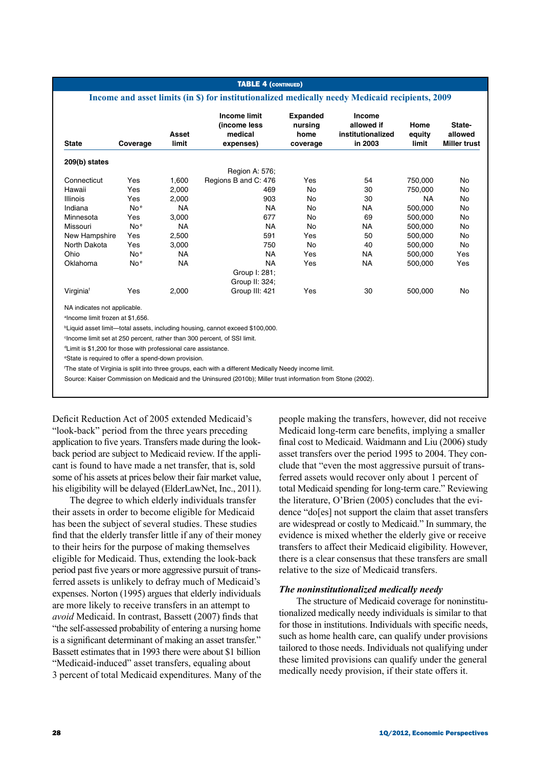#### **TABLE 4 (CONTINUED)**

### **Income and asset limits (in \$) for institutionalized medically needy Medicaid recipients, 2009**

| <b>State</b>                                 | Coverage        | Asset<br>limit | Income limit<br>(income less<br>medical<br>expenses) | <b>Expanded</b><br>nursing<br>home<br>coverage | <b>Income</b><br>allowed if<br>institutionalized<br>in 2003 | Home<br>equity<br>limit | State-<br>allowed<br><b>Miller trust</b> |
|----------------------------------------------|-----------------|----------------|------------------------------------------------------|------------------------------------------------|-------------------------------------------------------------|-------------------------|------------------------------------------|
| 209(b) states                                |                 |                |                                                      |                                                |                                                             |                         |                                          |
|                                              |                 |                | Region A: 576;                                       |                                                |                                                             |                         |                                          |
| Connecticut                                  | Yes             | 1,600          | Regions B and C: 476                                 | Yes                                            | 54                                                          | 750,000                 | No                                       |
| Hawaii                                       | Yes             | 2,000          | 469                                                  | No                                             | 30                                                          | 750,000                 | No                                       |
| <b>Illinois</b>                              | Yes             | 2,000          | 903                                                  | No                                             | 30                                                          | NA.                     | <b>No</b>                                |
| Indiana                                      | No <sup>e</sup> | <b>NA</b>      | <b>NA</b>                                            | No                                             | NA.                                                         | 500,000                 | No                                       |
| Minnesota                                    | Yes             | 3,000          | 677                                                  | No                                             | 69                                                          | 500,000                 | No                                       |
| Missouri                                     | No <sup>e</sup> | <b>NA</b>      | <b>NA</b>                                            | No                                             | NA                                                          | 500,000                 | No                                       |
| New Hampshire                                | Yes             | 2,500          | 591                                                  | Yes                                            | 50                                                          | 500,000                 | <b>No</b>                                |
| North Dakota                                 | Yes             | 3,000          | 750                                                  | No                                             | 40                                                          | 500,000                 | <b>No</b>                                |
| Ohio                                         | No <sup>e</sup> | <b>NA</b>      | <b>NA</b>                                            | Yes                                            | NA.                                                         | 500,000                 | Yes                                      |
| Oklahoma                                     | No <sup>e</sup> | <b>NA</b>      | ΝA                                                   | Yes                                            | <b>NA</b>                                                   | 500,000                 | Yes                                      |
|                                              |                 |                | Group I: 281;                                        |                                                |                                                             |                         |                                          |
|                                              |                 |                | Group II: 324:                                       |                                                |                                                             |                         |                                          |
| Virginiaf                                    | Yes             | 2,000          | Group III: 421                                       | Yes                                            | 30                                                          | 500,000                 | No                                       |
| NA indicates not applicable.                 |                 |                |                                                      |                                                |                                                             |                         |                                          |
| <sup>a</sup> lncome limit frozen at \$1,656. |                 |                |                                                      |                                                |                                                             |                         |                                          |

b Liquid asset limit—total assets, including housing, cannot exceed \$100,000.

c Income limit set at 250 percent, rather than 300 percent, of SSI limit.

d Limit is \$1,200 for those with professional care assistance.

e State is required to offer a spend-down provision.

f The state of Virginia is split into three groups, each with a different Medically Needy income limit.

Source: Kaiser Commission on Medicaid and the Uninsured (2010b); Miller trust information from Stone (2002).

Deficit Reduction Act of 2005 extended Medicaid's "look-back" period from the three years preceding application to five years. Transfers made during the lookback period are subject to Medicaid review. If the applicant is found to have made a net transfer, that is, sold some of his assets at prices below their fair market value, his eligibility will be delayed (ElderLawNet, Inc., 2011).

The degree to which elderly individuals transfer their assets in order to become eligible for Medicaid has been the subject of several studies. These studies find that the elderly transfer little if any of their money to their heirs for the purpose of making themselves eligible for Medicaid. Thus, extending the look-back period past five years or more aggressive pursuit of transferred assets is unlikely to defray much of Medicaid's expenses. Norton (1995) argues that elderly individuals are more likely to receive transfers in an attempt to *avoid* Medicaid. In contrast, Bassett (2007) finds that "the self-assessed probability of entering a nursing home is a significant determinant of making an asset transfer." Bassett estimates that in 1993 there were about \$1 billion "Medicaid-induced" asset transfers, equaling about 3 percent of total Medicaid expenditures. Many of the

people making the transfers, however, did not receive Medicaid long-term care benefits, implying a smaller final cost to Medicaid. Waidmann and Liu (2006) study asset transfers over the period 1995 to 2004. They conclude that "even the most aggressive pursuit of transferred assets would recover only about 1 percent of total Medicaid spending for long-term care." Reviewing the literature, O'Brien (2005) concludes that the evidence "do[es] not support the claim that asset transfers are widespread or costly to Medicaid." In summary, the evidence is mixed whether the elderly give or receive transfers to affect their Medicaid eligibility. However, there is a clear consensus that these transfers are small relative to the size of Medicaid transfers.

### *The noninstitutionalized medically needy*

The structure of Medicaid coverage for noninstitutionalized medically needy individuals is similar to that for those in institutions. Individuals with specific needs, such as home health care, can qualify under provisions tailored to those needs. Individuals not qualifying under these limited provisions can qualify under the general medically needy provision, if their state offers it.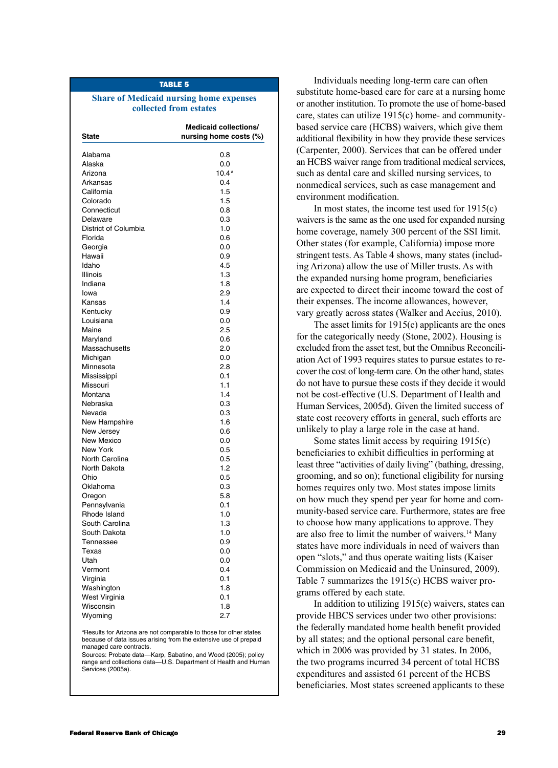### **Share of Medicaid nursing home expenses collected from estates**

| <b>State</b>         | <b>Medicaid collections/</b><br>nursing home costs (%) |
|----------------------|--------------------------------------------------------|
| Alabama              | 0.8                                                    |
| Alaska               | 0.0                                                    |
| Arizona              | 10.4 <sup>a</sup>                                      |
| Arkansas             | 0.4                                                    |
| California           | 1.5                                                    |
| Colorado             | 1.5                                                    |
| Connecticut          | 0.8                                                    |
| Delaware             | 0.3                                                    |
| District of Columbia | 1.0                                                    |
| Florida              | 0.6                                                    |
| Georgia              | 0.0                                                    |
| Hawaii               | 0.9                                                    |
| Idaho                | 4.5                                                    |
|                      | 1.3                                                    |
| Illinois             | 1.8                                                    |
| Indiana              |                                                        |
| lowa                 | 2.9                                                    |
| Kansas               | 1.4                                                    |
| Kentucky             | 0.9                                                    |
| Louisiana            | 0.0                                                    |
| Maine                | 2.5                                                    |
| Maryland             | 0.6                                                    |
| Massachusetts        | 2.0                                                    |
| Michigan             | 0.0                                                    |
| Minnesota            | 2.8                                                    |
| Mississippi          | 0.1                                                    |
| Missouri             | 1.1                                                    |
| Montana              | 1.4                                                    |
| Nebraska             | 0.3                                                    |
| Nevada               | 0.3                                                    |
| New Hampshire        | 1.6                                                    |
| New Jersey           | 0.6                                                    |
| New Mexico           | 0.0                                                    |
| New York             | 0.5                                                    |
| North Carolina       | 0.5                                                    |
| North Dakota         | 1.2                                                    |
| Ohio                 | 0.5                                                    |
| Oklahoma             | 0.3                                                    |
| Oregon               | 5.8                                                    |
| Pennsylvania         | 0.1                                                    |
| Rhode Island         | 1.0                                                    |
| South Carolina       | 1.3                                                    |
| South Dakota         | 1.0                                                    |
| Tennessee            | 0.9                                                    |
|                      | 0.0                                                    |
| Texas                |                                                        |
| Utah                 | 0.0                                                    |
| Vermont              | 0.4                                                    |
| Virginia             | 0.1                                                    |
| Washington           | 1.8                                                    |
| West Virginia        | 0.1                                                    |
| Wisconsin            | 1.8                                                    |
| Wyoming              | 2.7                                                    |

a Results for Arizona are not comparable to those for other states because of data issues arising from the extensive use of prepaid managed care contracts.

Sources: Probate data—Karp, Sabatino, and Wood (2005); policy range and collections data—U.S. Department of Health and Human Services (2005a).

Individuals needing long-term care can often substitute home-based care for care at a nursing home or another institution. To promote the use of home-based care, states can utilize 1915(c) home- and communitybased service care (HCBS) waivers, which give them additional flexibility in how they provide these services (Carpenter, 2000). Services that can be offered under an HCBS waiver range from traditional medical services, such as dental care and skilled nursing services, to nonmedical services, such as case management and environment modification.

In most states, the income test used for 1915(c) waivers is the same as the one used for expanded nursing home coverage, namely 300 percent of the SSI limit. Other states (for example, California) impose more stringent tests. As Table 4 shows, many states (including Arizona) allow the use of Miller trusts. As with the expanded nursing home program, beneficiaries are expected to direct their income toward the cost of their expenses. The income allowances, however, vary greatly across states (Walker and Accius, 2010).

The asset limits for 1915(c) applicants are the ones for the categorically needy (Stone, 2002). Housing is excluded from the asset test, but the Omnibus Reconciliation Act of 1993 requires states to pursue estates to recover the cost of long-term care. On the other hand, states do not have to pursue these costs if they decide it would not be cost-effective (U.S. Department of Health and Human Services, 2005d). Given the limited success of state cost recovery efforts in general, such efforts are unlikely to play a large role in the case at hand.

Some states limit access by requiring 1915(c) beneficiaries to exhibit difficulties in performing at least three "activities of daily living" (bathing, dressing, grooming, and so on); functional eligibility for nursing homes requires only two. Most states impose limits on how much they spend per year for home and community-based service care. Furthermore, states are free to choose how many applications to approve. They are also free to limit the number of waivers.14 Many states have more individuals in need of waivers than open "slots," and thus operate waiting lists (Kaiser Commission on Medicaid and the Uninsured, 2009). Table 7 summarizes the 1915(c) HCBS waiver programs offered by each state.

In addition to utilizing 1915(c) waivers, states can provide HBCS services under two other provisions: the federally mandated home health benefit provided by all states; and the optional personal care benefit, which in 2006 was provided by 31 states. In 2006, the two programs incurred 34 percent of total HCBS expenditures and assisted 61 percent of the HCBS beneficiaries. Most states screened applicants to these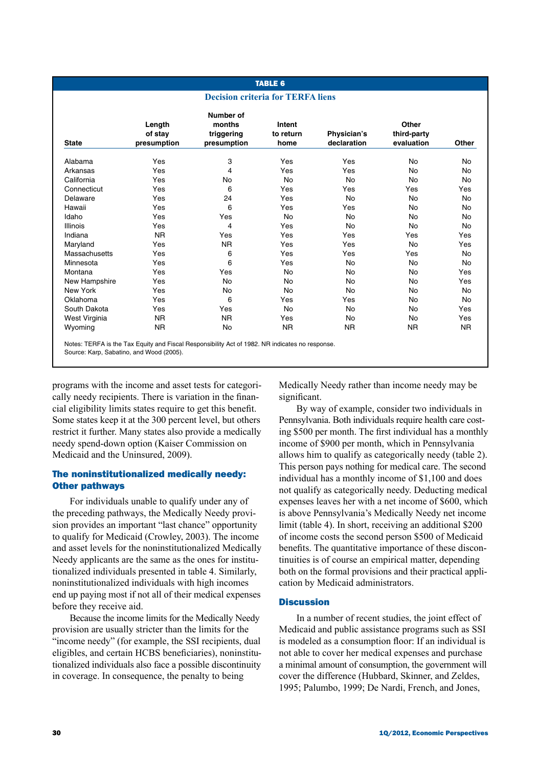# **TABLE 6**

### **Decision criteria for TERFA liens**

|                 | Length<br>of stay | Number of<br>months<br>triggering | Intent<br>to return | Physician's | Other<br>third-party |           |
|-----------------|-------------------|-----------------------------------|---------------------|-------------|----------------------|-----------|
| <b>State</b>    | presumption       | presumption                       | home                | declaration | evaluation           | Other     |
| Alabama         | Yes               | 3                                 | Yes                 | Yes         | <b>No</b>            | No        |
| Arkansas        | Yes               | 4                                 | Yes                 | Yes         | No                   | No        |
| California      | Yes               | No                                | No                  | No          | No                   | No        |
| Connecticut     | Yes               | 6                                 | Yes                 | Yes         | Yes                  | Yes       |
| Delaware        | Yes               | 24                                | Yes                 | <b>No</b>   | No                   | <b>No</b> |
| Hawaii          | Yes               | 6                                 | Yes                 | Yes         | No                   | No        |
| Idaho           | Yes               | Yes                               | <b>No</b>           | <b>No</b>   | No                   | No        |
| <b>Illinois</b> | Yes               | 4                                 | Yes                 | No          | No                   | <b>No</b> |
| Indiana         | <b>NR</b>         | Yes                               | Yes                 | Yes         | Yes                  | Yes       |
| Maryland        | Yes               | N <sub>R</sub>                    | Yes                 | Yes         | No                   | Yes       |
| Massachusetts   | Yes               | 6                                 | Yes                 | Yes         | Yes                  | No        |
| Minnesota       | Yes               | 6                                 | Yes                 | <b>No</b>   | <b>No</b>            | <b>No</b> |
| Montana         | Yes               | Yes                               | No                  | No          | <b>No</b>            | Yes       |
| New Hampshire   | Yes               | <b>No</b>                         | <b>No</b>           | <b>No</b>   | <b>No</b>            | Yes       |
| New York        | Yes               | <b>No</b>                         | No                  | <b>No</b>   | <b>No</b>            | <b>No</b> |
| Oklahoma        | Yes               | 6                                 | Yes                 | Yes         | No                   | No        |
| South Dakota    | Yes               | Yes                               | No                  | <b>No</b>   | No                   | Yes       |
| West Virginia   | <b>NR</b>         | <b>NR</b>                         | Yes                 | No          | No                   | Yes       |
| Wyoming         | <b>NR</b>         | No                                | <b>NR</b>           | NR.         | NR.                  | <b>NR</b> |

Source: Karp, Sabatino, and Wood (2005).

programs with the income and asset tests for categorically needy recipients. There is variation in the financial eligibility limits states require to get this benefit. Some states keep it at the 300 percent level, but others restrict it further. Many states also provide a medically needy spend-down option (Kaiser Commission on Medicaid and the Uninsured, 2009).

## The noninstitutionalized medically needy: Other pathways

For individuals unable to qualify under any of the preceding pathways, the Medically Needy provision provides an important "last chance" opportunity to qualify for Medicaid (Crowley, 2003). The income and asset levels for the noninstitutionalized Medically Needy applicants are the same as the ones for institutionalized individuals presented in table 4. Similarly, noninstitutionalized individuals with high incomes end up paying most if not all of their medical expenses before they receive aid.

Because the income limits for the Medically Needy provision are usually stricter than the limits for the "income needy" (for example, the SSI recipients, dual eligibles, and certain HCBS beneficiaries), noninstitutionalized individuals also face a possible discontinuity in coverage. In consequence, the penalty to being

Medically Needy rather than income needy may be significant.

By way of example, consider two individuals in Pennsylvania. Both individuals require health care costing \$500 per month. The first individual has a monthly income of \$900 per month, which in Pennsylvania allows him to qualify as categorically needy (table 2). This person pays nothing for medical care. The second individual has a monthly income of \$1,100 and does not qualify as categorically needy. Deducting medical expenses leaves her with a net income of \$600, which is above Pennsylvania's Medically Needy net income limit (table 4). In short, receiving an additional \$200 of income costs the second person \$500 of Medicaid benefits. The quantitative importance of these discontinuities is of course an empirical matter, depending both on the formal provisions and their practical application by Medicaid administrators.

## **Discussion**

In a number of recent studies, the joint effect of Medicaid and public assistance programs such as SSI is modeled as a consumption floor: If an individual is not able to cover her medical expenses and purchase a minimal amount of consumption, the government will cover the difference (Hubbard, Skinner, and Zeldes, 1995; Palumbo, 1999; De Nardi, French, and Jones,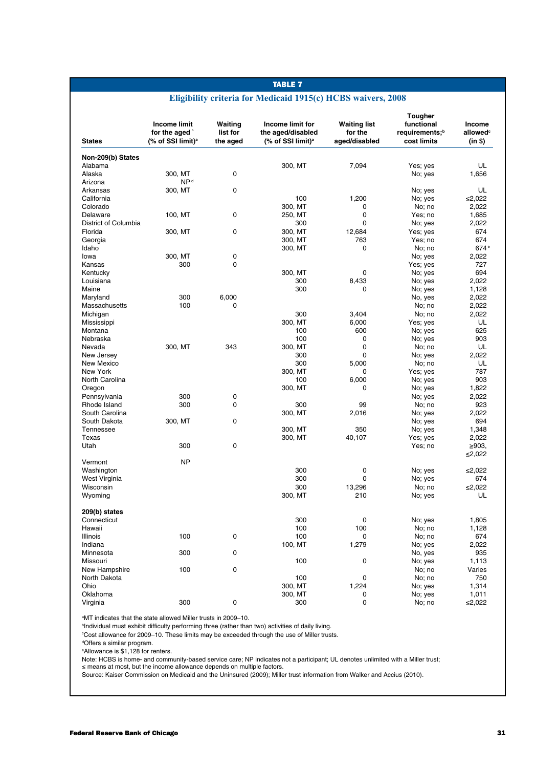## **Eligibility criteria for Medicaid 1915(c) HCBS waivers, 2008**

| <b>States</b>        | <b>Income limit</b><br>for the aged<br>(% of SSI limit) <sup>a</sup> | Waiting<br>list for<br>the aged | Income limit for<br>the aged/disabled<br>(% of SSI limit) <sup>a</sup> | <b>Waiting list</b><br>for the<br>aged/disabled | Tougher<br>functional<br>requirements; <sup>b</sup><br>cost limits | Income<br>allowed <sup>c</sup><br>(in \$) |
|----------------------|----------------------------------------------------------------------|---------------------------------|------------------------------------------------------------------------|-------------------------------------------------|--------------------------------------------------------------------|-------------------------------------------|
| Non-209(b) States    |                                                                      |                                 |                                                                        |                                                 |                                                                    |                                           |
| Alabama              |                                                                      |                                 | 300, MT                                                                | 7,094                                           | Yes; yes                                                           | UL                                        |
| Alaska               | 300, MT                                                              | 0                               |                                                                        |                                                 | No; yes                                                            | 1,656                                     |
| Arizona              | NP <sup>d</sup>                                                      |                                 |                                                                        |                                                 |                                                                    |                                           |
| Arkansas             | 300, MT                                                              | 0                               |                                                                        |                                                 | No; yes                                                            | UL                                        |
| California           |                                                                      |                                 | 100                                                                    | 1,200                                           | No; yes                                                            | ≤2,022                                    |
| Colorado             |                                                                      |                                 | 300, MT                                                                | 0                                               | No; no                                                             | 2,022                                     |
| Delaware             | 100, MT                                                              | 0                               | 250, MT                                                                | 0                                               | Yes; no                                                            | 1,685                                     |
| District of Columbia |                                                                      |                                 | 300                                                                    | 0                                               | No; yes                                                            | 2,022                                     |
| Florida              | 300, MT                                                              | 0                               | 300, MT                                                                | 12,684                                          | Yes; yes                                                           | 674                                       |
| Georgia              |                                                                      |                                 | 300, MT                                                                | 763                                             | Yes; no                                                            | 674                                       |
| Idaho                |                                                                      |                                 | 300, MT                                                                | 0                                               | No; no                                                             | 674 <sup>e</sup>                          |
| lowa                 | 300, MT                                                              | 0                               |                                                                        |                                                 | No; yes                                                            | 2,022                                     |
| Kansas               | 300                                                                  | 0                               |                                                                        |                                                 | Yes; yes                                                           | 727                                       |
| Kentucky             |                                                                      |                                 | 300, MT                                                                | 0                                               | No; yes                                                            | 694                                       |
| Louisiana            |                                                                      |                                 | 300                                                                    | 8,433                                           | No; yes                                                            | 2,022                                     |
| Maine                |                                                                      |                                 | 300                                                                    | 0                                               | No; yes                                                            | 1,128                                     |
| Maryland             | 300                                                                  | 6,000                           |                                                                        |                                                 | No, yes                                                            | 2,022                                     |
| Massachusetts        | 100                                                                  | $\mathbf 0$                     |                                                                        |                                                 | No; no                                                             | 2,022                                     |
| Michigan             |                                                                      |                                 | 300                                                                    | 3,404                                           | No; no                                                             | 2,022                                     |
| Mississippi          |                                                                      |                                 | 300, MT                                                                | 6,000                                           | Yes; yes                                                           | UL                                        |
| Montana              |                                                                      |                                 | 100                                                                    | 600                                             | No; yes                                                            | 625                                       |
| Nebraska             |                                                                      |                                 | 100                                                                    | 0                                               | No; yes                                                            | 903                                       |
| Nevada               | 300, MT                                                              | 343                             | 300, MT                                                                | 0                                               | No; no                                                             | UL                                        |
| New Jersey           |                                                                      |                                 | 300                                                                    | 0                                               | No; yes                                                            | 2.022                                     |
| New Mexico           |                                                                      |                                 | 300                                                                    | 5,000                                           | No; no                                                             | UL                                        |
| New York             |                                                                      |                                 | 300, MT                                                                | 0                                               | Yes; yes                                                           | 787                                       |
| North Carolina       |                                                                      |                                 | 100                                                                    | 6,000                                           | No; yes                                                            | 903                                       |
| Oregon               |                                                                      |                                 | 300, MT                                                                | 0                                               | No; yes                                                            | 1,822                                     |
| Pennsylvania         | 300                                                                  | 0                               |                                                                        |                                                 | No; yes                                                            | 2,022                                     |
| Rhode Island         | 300                                                                  | 0                               | 300                                                                    | 99                                              | No; no                                                             | 923                                       |
| South Carolina       |                                                                      |                                 | 300, MT                                                                | 2,016                                           | No; yes                                                            | 2,022                                     |
| South Dakota         | 300, MT                                                              | $\mathbf 0$                     |                                                                        |                                                 | No; yes                                                            | 694                                       |
| Tennessee            |                                                                      |                                 | 300, MT                                                                | 350                                             | No; yes                                                            | 1,348                                     |
| Texas                |                                                                      |                                 | 300, MT                                                                | 40,107                                          | Yes; yes                                                           | 2,022                                     |
| Utah                 | 300                                                                  | 0                               |                                                                        |                                                 | Yes; no                                                            | $\geq 903$ ,<br>≤2,022                    |
| Vermont              | <b>NP</b>                                                            |                                 |                                                                        |                                                 |                                                                    |                                           |
| Washington           |                                                                      |                                 | 300                                                                    | 0                                               | No; yes                                                            | ≤2,022                                    |
| West Virginia        |                                                                      |                                 | 300                                                                    | 0                                               | No; yes                                                            | 674                                       |
| Wisconsin            |                                                                      |                                 | 300                                                                    | 13,296                                          | No; no                                                             | ≤2,022                                    |
| Wyoming              |                                                                      |                                 | 300, MT                                                                | 210                                             | No; yes                                                            | UL                                        |
| 209(b) states        |                                                                      |                                 |                                                                        |                                                 |                                                                    |                                           |
| Connecticut          |                                                                      |                                 | 300                                                                    | 0                                               | No; yes                                                            | 1,805                                     |
| Hawaii               |                                                                      |                                 | 100                                                                    | 100                                             | No; no                                                             | 1,128                                     |
| <b>Illinois</b>      | 100                                                                  | 0                               | 100                                                                    | 0                                               | No; no                                                             | 674                                       |
| Indiana              |                                                                      |                                 | 100, MT                                                                | 1,279                                           | No; yes                                                            | 2,022                                     |
| Minnesota            | 300                                                                  | $\mathbf 0$                     |                                                                        |                                                 | No, yes                                                            | 935                                       |
| Missouri             |                                                                      |                                 | 100                                                                    | 0                                               | No; yes                                                            | 1,113                                     |
| New Hampshire        | 100                                                                  | 0                               |                                                                        |                                                 | No; no                                                             | Varies                                    |
| North Dakota         |                                                                      |                                 | 100                                                                    | 0                                               | No; no                                                             | 750                                       |
| Ohio                 |                                                                      |                                 | 300, MT                                                                | 1,224                                           | No; yes                                                            | 1,314                                     |
| Oklahoma             |                                                                      |                                 | 300, MT                                                                | 0                                               | No; yes                                                            | 1,011                                     |
| Virginia             | 300                                                                  | $\mathbf 0$                     | 300                                                                    | 0                                               | No; no                                                             | ≤2,022                                    |

a MT indicates that the state allowed Miller trusts in 2009–10.

<sup>b</sup>Individual must exhibit difficulty performing three (rather than two) activities of daily living.

c Cost allowance for 2009–10. These limits may be exceeded through the use of Miller trusts.

dOffers a similar program.

e Allowance is \$1,128 for renters.

Note: HCBS is home- and community-based service care; NP indicates not a participant; UL denotes unlimited with a Miller trust;<br>≤ means at most, but the income allowance depends on multiple factors.

Source: Kaiser Commission on Medicaid and the Uninsured (2009); Miller trust information from Walker and Accius (2010).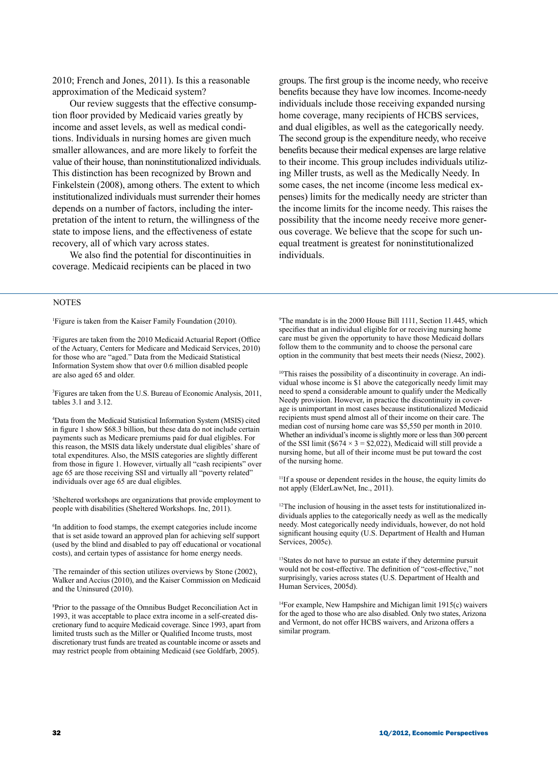2010; French and Jones, 2011). Is this a reasonable approximation of the Medicaid system?

Our review suggests that the effective consumption floor provided by Medicaid varies greatly by income and asset levels, as well as medical conditions. Individuals in nursing homes are given much smaller allowances, and are more likely to forfeit the value of their house, than noninstitutionalized individuals. This distinction has been recognized by Brown and Finkelstein (2008), among others. The extent to which institutionalized individuals must surrender their homes depends on a number of factors, including the interpretation of the intent to return, the willingness of the state to impose liens, and the effectiveness of estate recovery, all of which vary across states.

We also find the potential for discontinuities in coverage. Medicaid recipients can be placed in two

### **NOTES**

1 Figure is taken from the Kaiser Family Foundation (2010).

2 Figures are taken from the 2010 Medicaid Actuarial Report (Office of the Actuary, Centers for Medicare and Medicaid Services, 2010) for those who are "aged." Data from the Medicaid Statistical Information System show that over 0.6 million disabled people are also aged 65 and older.

3 Figures are taken from the U.S. Bureau of Economic Analysis, 2011, tables 3.1 and 3.12.

4 Data from the Medicaid Statistical Information System (MSIS) cited in figure 1 show \$68.3 billion, but these data do not include certain payments such as Medicare premiums paid for dual eligibles. For this reason, the MSIS data likely understate dual eligibles' share of total expenditures. Also, the MSIS categories are slightly different from those in figure 1. However, virtually all "cash recipients" over age 65 are those receiving SSI and virtually all "poverty related" individuals over age 65 are dual eligibles.

5 Sheltered workshops are organizations that provide employment to people with disabilities (Sheltered Workshops. Inc, 2011).

6 In addition to food stamps, the exempt categories include income that is set aside toward an approved plan for achieving self support (used by the blind and disabled to pay off educational or vocational costs), and certain types of assistance for home energy needs.

7 The remainder of this section utilizes overviews by Stone (2002), Walker and Accius (2010), and the Kaiser Commission on Medicaid and the Uninsured (2010).

8 Prior to the passage of the Omnibus Budget Reconciliation Act in 1993, it was acceptable to place extra income in a self-created discretionary fund to acquire Medicaid coverage. Since 1993, apart from limited trusts such as the Miller or Qualified Income trusts, most discretionary trust funds are treated as countable income or assets and may restrict people from obtaining Medicaid (see Goldfarb, 2005).

groups. The first group is the income needy, who receive benefits because they have low incomes. Income-needy individuals include those receiving expanded nursing home coverage, many recipients of HCBS services, and dual eligibles, as well as the categorically needy. The second group is the expenditure needy, who receive benefits because their medical expenses are large relative to their income. This group includes individuals utilizing Miller trusts, as well as the Medically Needy. In some cases, the net income (income less medical expenses) limits for the medically needy are stricter than the income limits for the income needy. This raises the possibility that the income needy receive more generous coverage. We believe that the scope for such unequal treatment is greatest for noninstitutionalized individuals.

9 The mandate is in the 2000 House Bill 1111, Section 11.445, which specifies that an individual eligible for or receiving nursing home care must be given the opportunity to have those Medicaid dollars follow them to the community and to choose the personal care option in the community that best meets their needs (Niesz, 2002).

<sup>10</sup>This raises the possibility of a discontinuity in coverage. An individual whose income is \$1 above the categorically needy limit may need to spend a considerable amount to qualify under the Medically Needy provision. However, in practice the discontinuity in coverage is unimportant in most cases because institutionalized Medicaid recipients must spend almost all of their income on their care. The median cost of nursing home care was \$5,550 per month in 2010. Whether an individual's income is slightly more or less than 300 percent of the SSI limit (\$674  $\times$  3 = \$2,022), Medicaid will still provide a nursing home, but all of their income must be put toward the cost of the nursing home.

11If a spouse or dependent resides in the house, the equity limits do not apply (ElderLawNet, Inc., 2011).

<sup>12</sup>The inclusion of housing in the asset tests for institutionalized individuals applies to the categorically needy as well as the medically needy. Most categorically needy individuals, however, do not hold significant housing equity (U.S. Department of Health and Human Services, 2005c).

<sup>13</sup>States do not have to pursue an estate if they determine pursuit would not be cost-effective. The definition of "cost-effective," not surprisingly, varies across states (U.S. Department of Health and Human Services, 2005d).

 $14$ For example, New Hampshire and Michigan limit 1915(c) waivers for the aged to those who are also disabled. Only two states, Arizona and Vermont, do not offer HCBS waivers, and Arizona offers a similar program.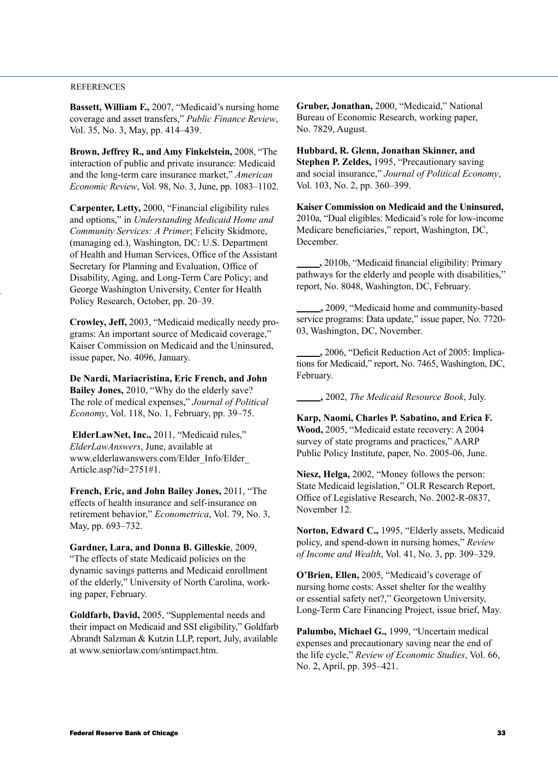### **REFERENCES**

**Bassett, William F.,** 2007, "Medicaid's nursing home coverage and asset transfers," *Public Finance Review*, Vol. 35, No. 3, May, pp. 414–439.

**Brown, Jeffrey R., and Amy Finkelstein,** 2008, "The interaction of public and private insurance: Medicaid and the long-term care insurance market," *American Economic Review*, Vol. 98, No. 3, June, pp. 1083–1102.

**Carpenter, Letty,** 2000, "Financial eligibility rules and options," in *Understanding Medicaid Home and Community Services: A Primer*; Felicity Skidmore, (managing ed.), Washington, DC: U.S. Department of Health and Human Services, Office of the Assistant Secretary for Planning and Evaluation, Office of Disability, Aging, and Long-Term Care Policy; and George Washington University, Center for Health Policy Research, October, pp. 20–39.

**Crowley, Jeff,** 2003, "Medicaid medically needy programs: An important source of Medicaid coverage," Kaiser Commission on Medicaid and the Uninsured, issue paper, No. 4096, January.

**De Nardi, Mariacristina, Eric French, and John Bailey Jones,** 2010, "Why do the elderly save? The role of medical expenses," *Journal of Political Economy*, Vol. 118, No. 1, February, pp. 39–75.

**ElderLawNet, Inc.,** 2011, "Medicaid rules," *ElderLawAnswers*, June, available at www.elderlawanswers.com/Elder\_Info/Elder\_ Article.asp?id=2751#1.

**French, Eric, and John Bailey Jones,** 2011, "The effects of health insurance and self-insurance on retirement behavior," *Econometrica*, Vol. 79, No. 3, May, pp. 693–732.

**Gardner, Lara, and Donna B. Gilleskie**, 2009, "The effects of state Medicaid policies on the dynamic savings patterns and Medicaid enrollment of the elderly," University of North Carolina, working paper, February.

**Goldfarb, David,** 2005, "Supplemental needs and their impact on Medicaid and SSI eligibility," Goldfarb Abrandt Salzman & Kutzin LLP, report, July, available at www.seniorlaw.com/sntimpact.htm.

**Gruber, Jonathan,** 2000, "Medicaid," National Bureau of Economic Research, working paper, No. 7829, August.

**Hubbard, R. Glenn, Jonathan Skinner, and Stephen P. Zeldes,** 1995, "Precautionary saving and social insurance," *Journal of Political Economy*, Vol. 103, No. 2, pp. 360–399.

**Kaiser Commission on Medicaid and the Uninsured,** 2010a, "Dual eligibles: Medicaid's role for low-income Medicare beneficiaries," report, Washington, DC, December.

 **,** 2010b, "Medicaid financial eligibility: Primary pathways for the elderly and people with disabilities," report, No. 8048, Washington, DC, February.

 **,** 2009, "Medicaid home and community-based service programs: Data update," issue paper, No. 7720-03, Washington, DC, November.

 **,** 2006, "Deficit Reduction Act of 2005: Implications for Medicaid," report, No. 7465, Washington, DC, February.

 **,** 2002, *The Medicaid Resource Book*, July.

**Karp, Naomi, Charles P. Sabatino, and Erica F. Wood,** 2005, "Medicaid estate recovery: A 2004 survey of state programs and practices," AARP Public Policy Institute, paper, No. 2005-06, June.

**Niesz, Helga,** 2002, "Money follows the person: State Medicaid legislation," OLR Research Report, Office of Legislative Research, No. 2002-R-0837, November 12.

**Norton, Edward C.,** 1995, "Elderly assets, Medicaid policy, and spend-down in nursing homes," *Review of Income and Wealth*, Vol. 41, No. 3, pp. 309–329.

**O'Brien, Ellen,** 2005, "Medicaid's coverage of nursing home costs: Asset shelter for the wealthy or essential safety net?," Georgetown University, Long-Term Care Financing Project, issue brief, May.

**Palumbo, Michael G.,** 1999, "Uncertain medical expenses and precautionary saving near the end of the life cycle," *Review of Economic Studies*, Vol. 66, No. 2, April, pp. 395–421.